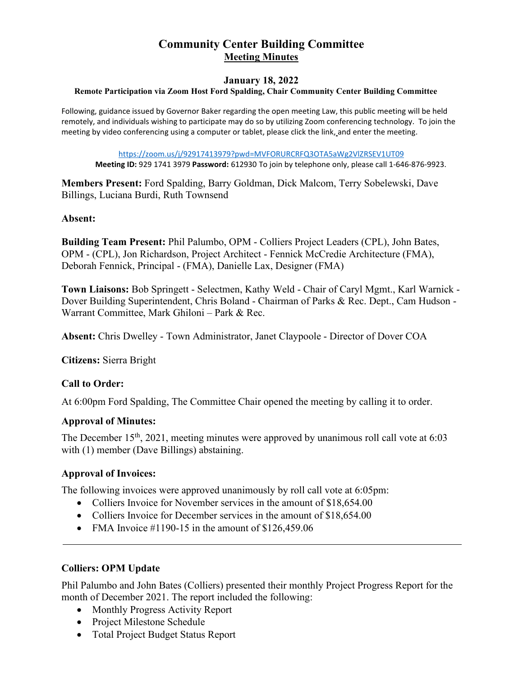# **Community Center Building Committee Meeting Minutes**

#### **January 18, 2022**

#### **Remote Participation via Zoom Host Ford Spalding, Chair Community Center Building Committee**

Following, guidance issued by Governor Baker regarding the open meeting Law, this public meeting will be held remotely, and individuals wishing to participate may do so by utilizing Zoom conferencing technology. To join the meeting by video conferencing using a computer or tablet, please click the link, and enter the meeting.

<https://zoom.us/j/92917413979?pwd=MVFORURCRFQ3OTA5aWg2VlZRSEV1UT09>

**Meeting ID:** 929 1741 3979 **Password:** 612930 To join by telephone only, please call 1-646-876-9923.

**Members Present:** Ford Spalding, Barry Goldman, Dick Malcom, Terry Sobelewski, Dave Billings, Luciana Burdi, Ruth Townsend

#### **Absent:**

**Building Team Present:** Phil Palumbo, OPM - Colliers Project Leaders (CPL), John Bates, OPM - (CPL), Jon Richardson, Project Architect - Fennick McCredie Architecture (FMA), Deborah Fennick, Principal - (FMA), Danielle Lax, Designer (FMA)

**Town Liaisons:** Bob Springett - Selectmen, Kathy Weld - Chair of Caryl Mgmt., Karl Warnick - Dover Building Superintendent, Chris Boland - Chairman of Parks & Rec. Dept., Cam Hudson - Warrant Committee, Mark Ghiloni – Park & Rec.

**Absent:** Chris Dwelley - Town Administrator, Janet Claypoole - Director of Dover COA

**Citizens:** Sierra Bright

## **Call to Order:**

At 6:00pm Ford Spalding, The Committee Chair opened the meeting by calling it to order.

#### **Approval of Minutes:**

The December  $15<sup>th</sup>$ , 2021, meeting minutes were approved by unanimous roll call vote at 6:03 with (1) member (Dave Billings) abstaining.

## **Approval of Invoices:**

The following invoices were approved unanimously by roll call vote at 6:05pm:

- Colliers Invoice for November services in the amount of \$18,654.00
- Colliers Invoice for December services in the amount of \$18,654.00
- FMA Invoice  $\#1190-15$  in the amount of \$126,459.06

## **Colliers: OPM Update**

Phil Palumbo and John Bates (Colliers) presented their monthly Project Progress Report for the month of December 2021. The report included the following:

- Monthly Progress Activity Report
- Project Milestone Schedule
- Total Project Budget Status Report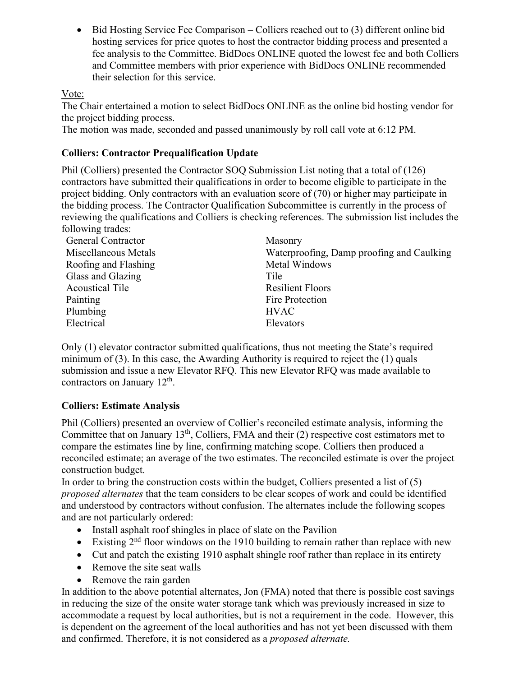• Bid Hosting Service Fee Comparison – Colliers reached out to (3) different online bid hosting services for price quotes to host the contractor bidding process and presented a fee analysis to the Committee. BidDocs ONLINE quoted the lowest fee and both Colliers and Committee members with prior experience with BidDocs ONLINE recommended their selection for this service.

Vote:

The Chair entertained a motion to select BidDocs ONLINE as the online bid hosting vendor for the project bidding process.

The motion was made, seconded and passed unanimously by roll call vote at 6:12 PM.

## **Colliers: Contractor Prequalification Update**

Phil (Colliers) presented the Contractor SOQ Submission List noting that a total of (126) contractors have submitted their qualifications in order to become eligible to participate in the project bidding. Only contractors with an evaluation score of (70) or higher may participate in the bidding process. The Contractor Qualification Subcommittee is currently in the process of reviewing the qualifications and Colliers is checking references. The submission list includes the following trades:

| <b>General Contractor</b> | Masonry                                   |
|---------------------------|-------------------------------------------|
| Miscellaneous Metals      | Waterproofing, Damp proofing and Caulking |
| Roofing and Flashing      | Metal Windows                             |
| Glass and Glazing         | Tile                                      |
| <b>Acoustical Tile</b>    | <b>Resilient Floors</b>                   |
| Painting                  | Fire Protection                           |
| Plumbing                  | <b>HVAC</b>                               |
| Electrical                | Elevators                                 |

Only (1) elevator contractor submitted qualifications, thus not meeting the State's required minimum of  $(3)$ . In this case, the Awarding Authority is required to reject the  $(1)$  quals submission and issue a new Elevator RFQ. This new Elevator RFQ was made available to contractors on January 12<sup>th</sup>.

## **Colliers: Estimate Analysis**

Phil (Colliers) presented an overview of Collier's reconciled estimate analysis, informing the Committee that on January  $13<sup>th</sup>$ , Colliers, FMA and their (2) respective cost estimators met to compare the estimates line by line, confirming matching scope. Colliers then produced a reconciled estimate; an average of the two estimates. The reconciled estimate is over the project construction budget.

In order to bring the construction costs within the budget, Colliers presented a list of  $(5)$ *proposed alternates* that the team considers to be clear scopes of work and could be identified and understood by contractors without confusion. The alternates include the following scopes and are not particularly ordered:

- Install asphalt roof shingles in place of slate on the Pavilion
- Existing  $2<sup>nd</sup>$  floor windows on the 1910 building to remain rather than replace with new
- Cut and patch the existing 1910 asphalt shingle roof rather than replace in its entirety
- Remove the site seat walls
- Remove the rain garden

In addition to the above potential alternates, Jon (FMA) noted that there is possible cost savings in reducing the size of the onsite water storage tank which was previously increased in size to accommodate a request by local authorities, but is not a requirement in the code. However, this is dependent on the agreement of the local authorities and has not yet been discussed with them and confirmed. Therefore, it is not considered as a *proposed alternate.*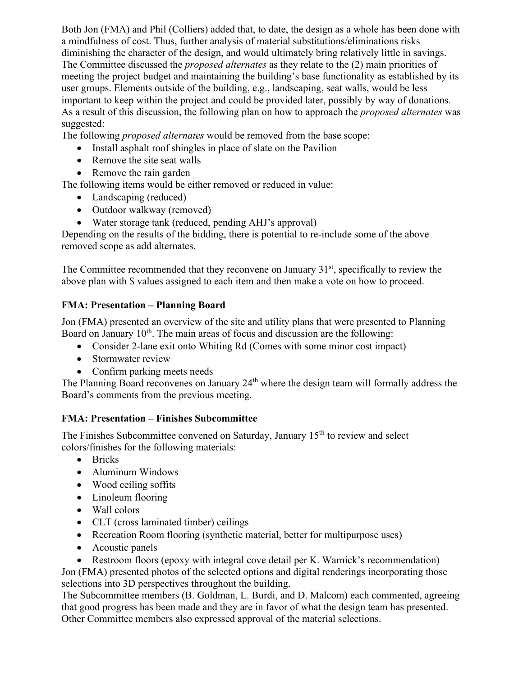Both Jon (FMA) and Phil (Colliers) added that, to date, the design as a whole has been done with a mindfulness of cost. Thus, further analysis of material substitutions/eliminations risks diminishing the character of the design, and would ultimately bring relatively little in savings. The Committee discussed the *proposed alternates* as they relate to the (2) main priorities of meeting the project budget and maintaining the building's base functionality as established by its user groups. Elements outside of the building, e.g., landscaping, seat walls, would be less important to keep within the project and could be provided later, possibly by way of donations. As a result of this discussion, the following plan on how to approach the *proposed alternates* was suggested:

The following *proposed alternates* would be removed from the base scope:

- Install asphalt roof shingles in place of slate on the Pavilion
- Remove the site seat walls
- Remove the rain garden

The following items would be either removed or reduced in value:

- Landscaping (reduced)
- Outdoor walkway (removed)
- Water storage tank (reduced, pending AHJ's approval)

Depending on the results of the bidding, there is potential to re-include some of the above removed scope as add alternates.

The Committee recommended that they reconvene on January  $31<sup>st</sup>$ , specifically to review the above plan with \$ values assigned to each item and then make a vote on how to proceed.

## **FMA: Presentation – Planning Board**

Jon (FMA) presented an overview of the site and utility plans that were presented to Planning Board on January  $10<sup>th</sup>$ . The main areas of focus and discussion are the following:

- Consider 2-lane exit onto Whiting Rd (Comes with some minor cost impact)
- Stormwater review
- Confirm parking meets needs

The Planning Board reconvenes on January 24<sup>th</sup> where the design team will formally address the Board's comments from the previous meeting.

## **FMA: Presentation – Finishes Subcommittee**

The Finishes Subcommittee convened on Saturday, January 15<sup>th</sup> to review and select colors/finishes for the following materials:

- Bricks
- Aluminum Windows
- Wood ceiling soffits
- Linoleum flooring
- Wall colors
- CLT (cross laminated timber) ceilings
- Recreation Room flooring (synthetic material, better for multipurpose uses)
- Acoustic panels
- Restroom floors (epoxy with integral cove detail per K. Warnick's recommendation)

Jon (FMA) presented photos of the selected options and digital renderings incorporating those selections into 3D perspectives throughout the building.

The Subcommittee members (B. Goldman, L. Burdi, and D. Malcom) each commented, agreeing that good progress has been made and they are in favor of what the design team has presented. Other Committee members also expressed approval of the material selections.